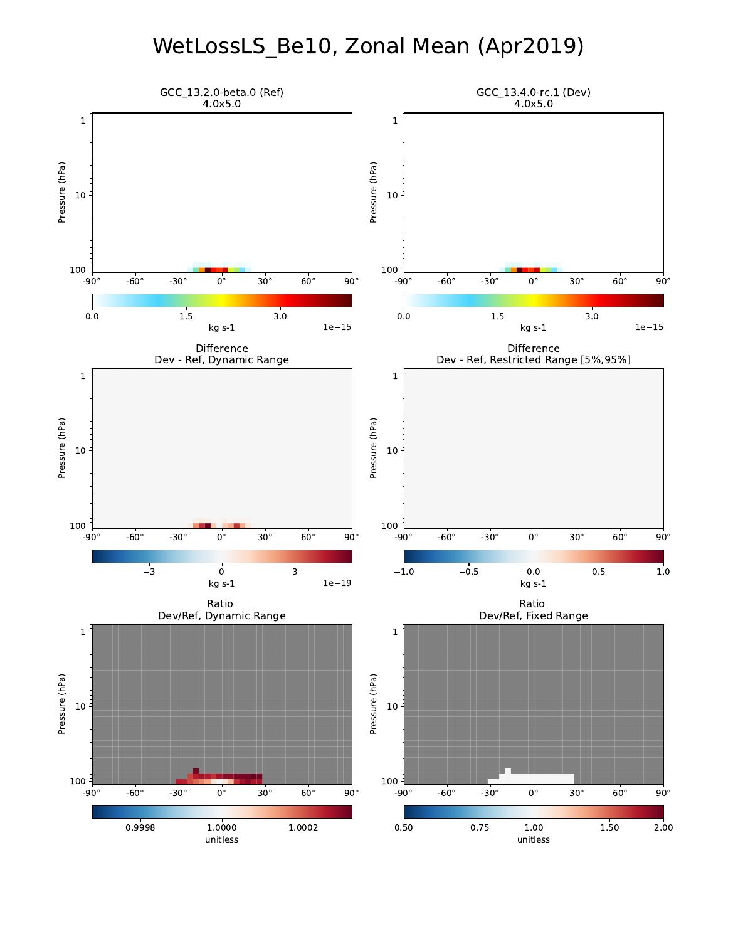# WetLossLS\_Be10, Zonal Mean (Apr2019)

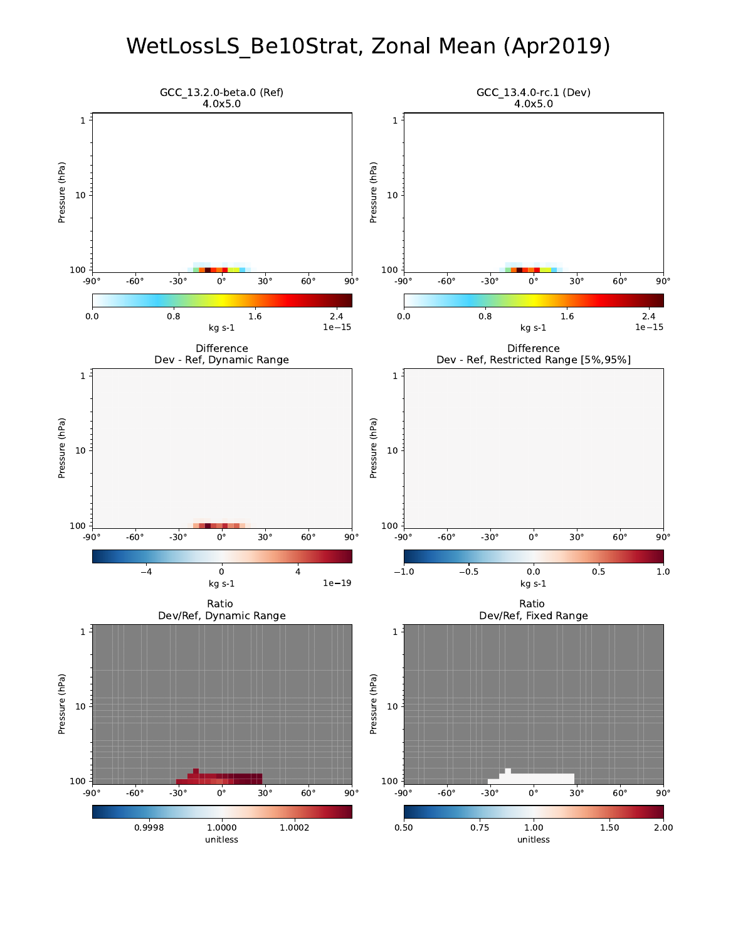#### WetLossLS\_Be10Strat, Zonal Mean (Apr2019)

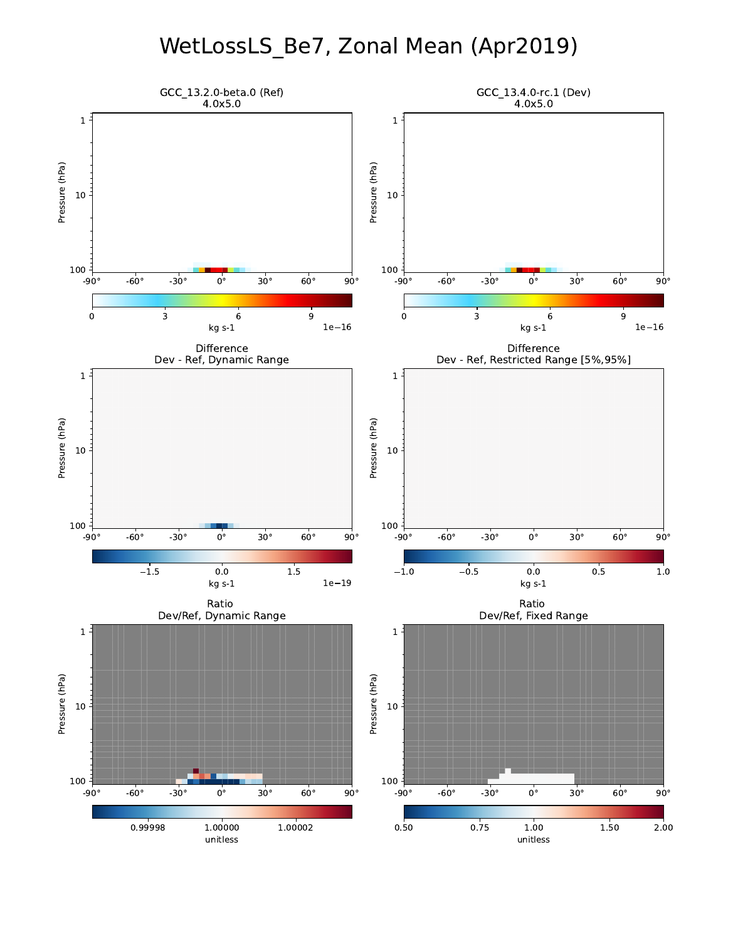# WetLossLS\_Be7, Zonal Mean (Apr2019)

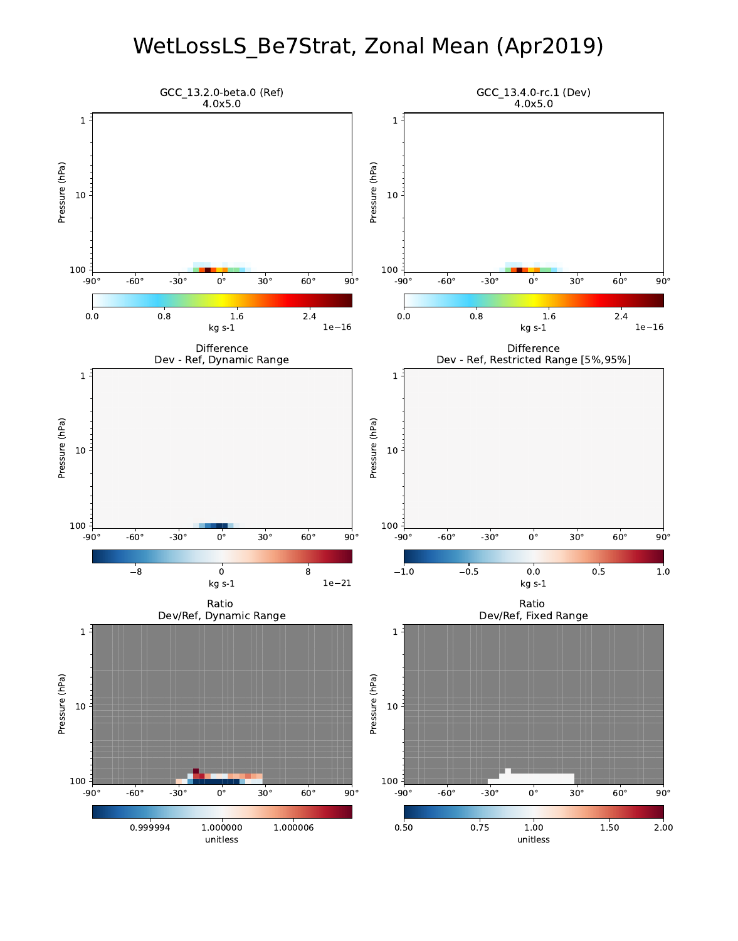#### WetLossLS\_Be7Strat, Zonal Mean (Apr2019)

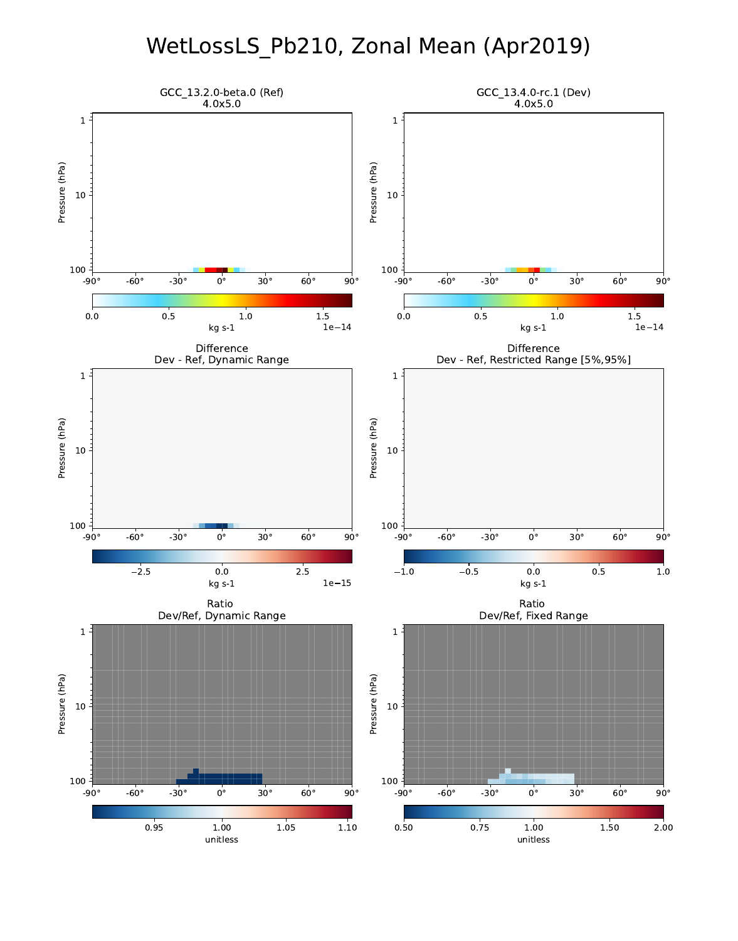## WetLossLS\_Pb210, Zonal Mean (Apr2019)